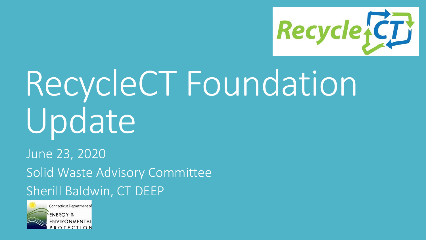

# RecycleCT Foundation Update

June 23, 2020 Solid Waste Advisory Committee Sherill Baldwin, CT DEEP

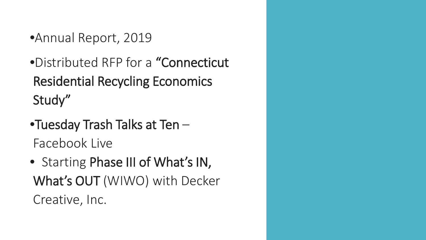- •Annual Report, 2019
- •Distributed RFP for a "Connecticut Residential Recycling Economics Study"
- •Tuesday Trash Talks at Ten Facebook Live
- Starting Phase III of What's IN, What's OUT (WIWO) with Decker Creative, Inc.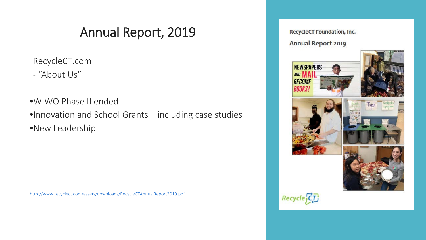### Annual Report, 2019

RecycleCT.com

- "About Us"

•WIWO Phase II ended •Innovation and School Grants – including case studies •New Leadership

<http://www.recyclect.com/assets/downloads/RecycleCTAnnualReport2019.pdf>

RecycleCT Foundation, Inc. **Annual Report 2019** 









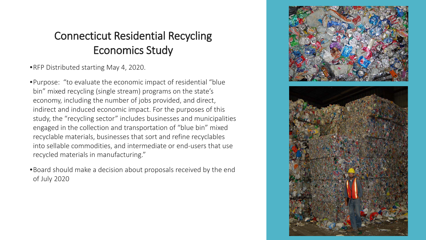### Connecticut Residential Recycling Economics Study

•RFP Distributed starting May 4, 2020.

•Purpose: "to evaluate the economic impact of residential "blue bin" mixed recycling (single stream) programs on the state's economy, including the number of jobs provided, and direct, indirect and induced economic impact. For the purposes of this study, the "recycling sector" includes businesses and municipalities engaged in the collection and transportation of "blue bin" mixed recyclable materials, businesses that sort and refine recyclables into sellable commodities, and intermediate or end-users that use recycled materials in manufacturing."

•Board should make a decision about proposals received by the end of July 2020

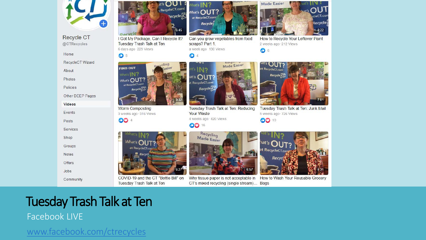

**Recycle CT** @CTRecycles

Home

RecycleCT Wizard

About

Photos

Policies

Other DEEP Pages

Videos

Events

Posts

Services

Shop

Groups

**Notes** 

**Offers** 

Jobs

Community



I Got My Package, Can I Recycle It?

Tuesday Trash Talk at Ten

 $DoI$ 

 $_{\rm{ht's}}$  OU I :

RecycleCT.com!

**Recycle** 

6:45

 $\sqrt{h}$ at's  $\mathbb{N}$  7

 $What's$  OUT?

at RecycleCT.com!

scraps? Part 1.

 $s$   $N2$ 

 $at's$   $\bigcirc$   $UT?$ 

**Recycle**<sub>15</sub>

4 weeks ago · 420 Views

t RecycleCT.com

Your Waste

00 16

 $\bullet$ 

Recycle,

a week ago · 130 Views

Can you grow vegetables from food

Made Easier



COVID-19 and the CT "Bottle Bill" on Tuesday Trash Talk at Ten



Tuesday Trash Talk at Ten: Reducing

Why tissue paper is not acceptable in How to Wash Your Reusable Grocery CT's mixed recycling (single stream)... Bags





How to Recycle Your Leftover Paint

2 weeks ago · 212 Views

 $\bullet$  6

hat's  $\mathbf{N}$  :

่วป

cleCT.cor

Recycle

 $-8.22$ 

Tuesday Trash Talk at Ten: Junk Mail 5 weeks ago · 726 Views

**OO 10** 

**Made Easier** 

## Tuesday Trash Talk at Ten

#### Facebook LIVE

[www.facebook.com/ctrecycles](http://www.facebook.com/ctrecycles)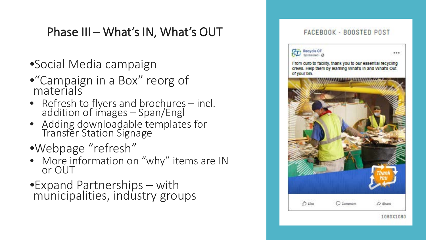### Phase III – What's IN, What's OUT

- •Social Media campaign
- •"Campaign in a Box" reorg of materials
- Refresh to flyers and brochures incl. addition of images – Span/Engl
- Adding downloadable templates for<br>Transfer Station Signage
- •Webpage "refresh"
- More information on "why" items are IN or OUT
- •Expand Partnerships with municipalities, industry groups